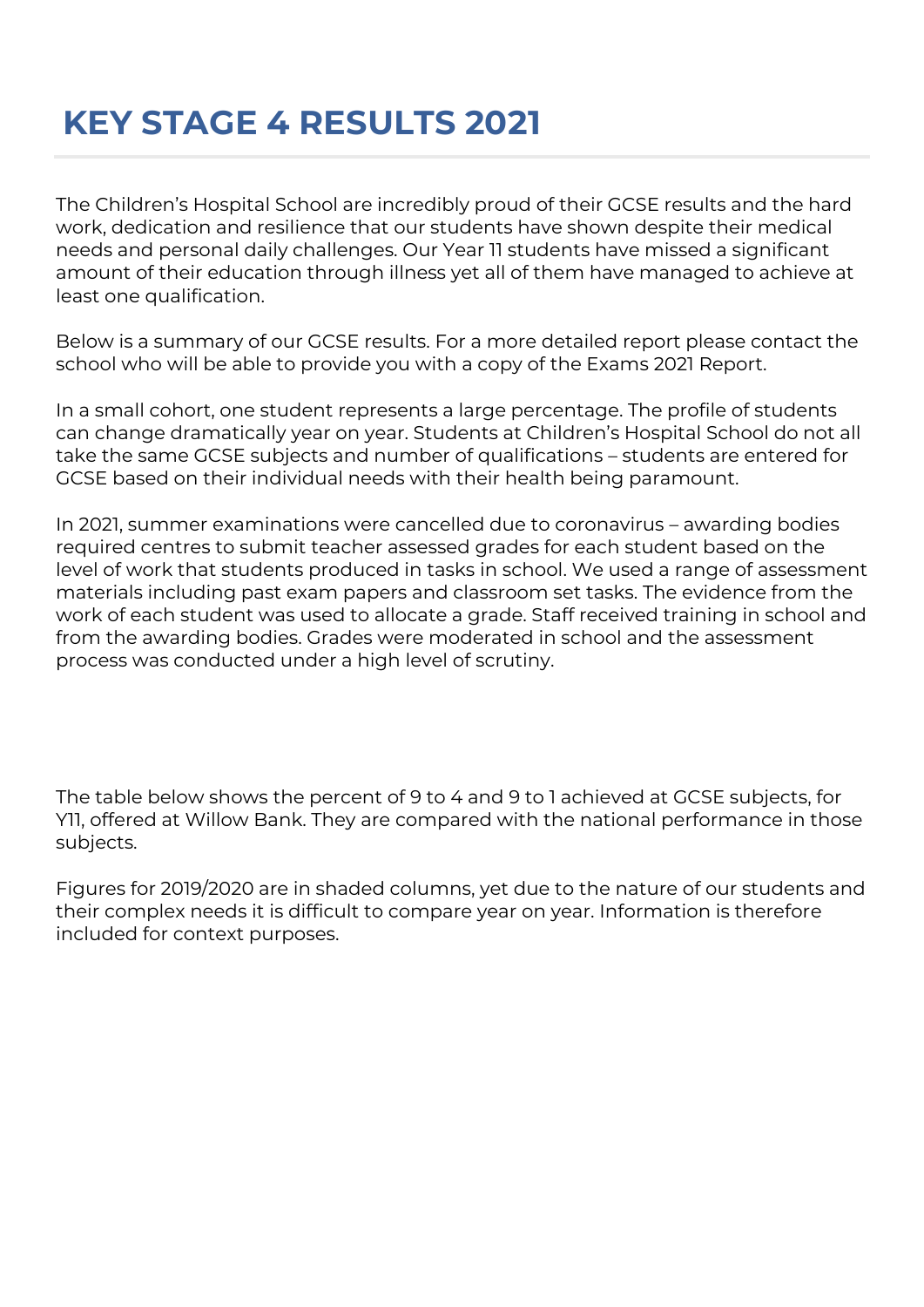## **KEY STAGE 4 RESULTS 2021**

The Children's Hospital School are incredibly proud of their GCSE results and the hard work, dedication and resilience that our students have shown despite their medical needs and personal daily challenges. Our Year 11 students have missed a significant amount of their education through illness yet all of them have managed to achieve at least one qualification.

Below is a summary of our GCSE results. For a more detailed report please contact the school who will be able to provide you with a copy of the Exams 2021 Report.

In a small cohort, one student represents a large percentage. The profile of students can change dramatically year on year. Students at Children's Hospital School do not all take the same GCSE subjects and number of qualifications – students are entered for GCSE based on their individual needs with their health being paramount.

In 2021, summer examinations were cancelled due to coronavirus – awarding bodies required centres to submit teacher assessed grades for each student based on the level of work that students produced in tasks in school. We used a range of assessment materials including past exam papers and classroom set tasks. The evidence from the work of each student was used to allocate a grade. Staff received training in school and from the awarding bodies. Grades were moderated in school and the assessment process was conducted under a high level of scrutiny.

The table below shows the percent of 9 to 4 and 9 to 1 achieved at GCSE subjects, for Y11, offered at Willow Bank. They are compared with the national performance in those subjects.

Figures for 2019/2020 are in shaded columns, yet due to the nature of our students and their complex needs it is difficult to compare year on year. Information is therefore included for context purposes.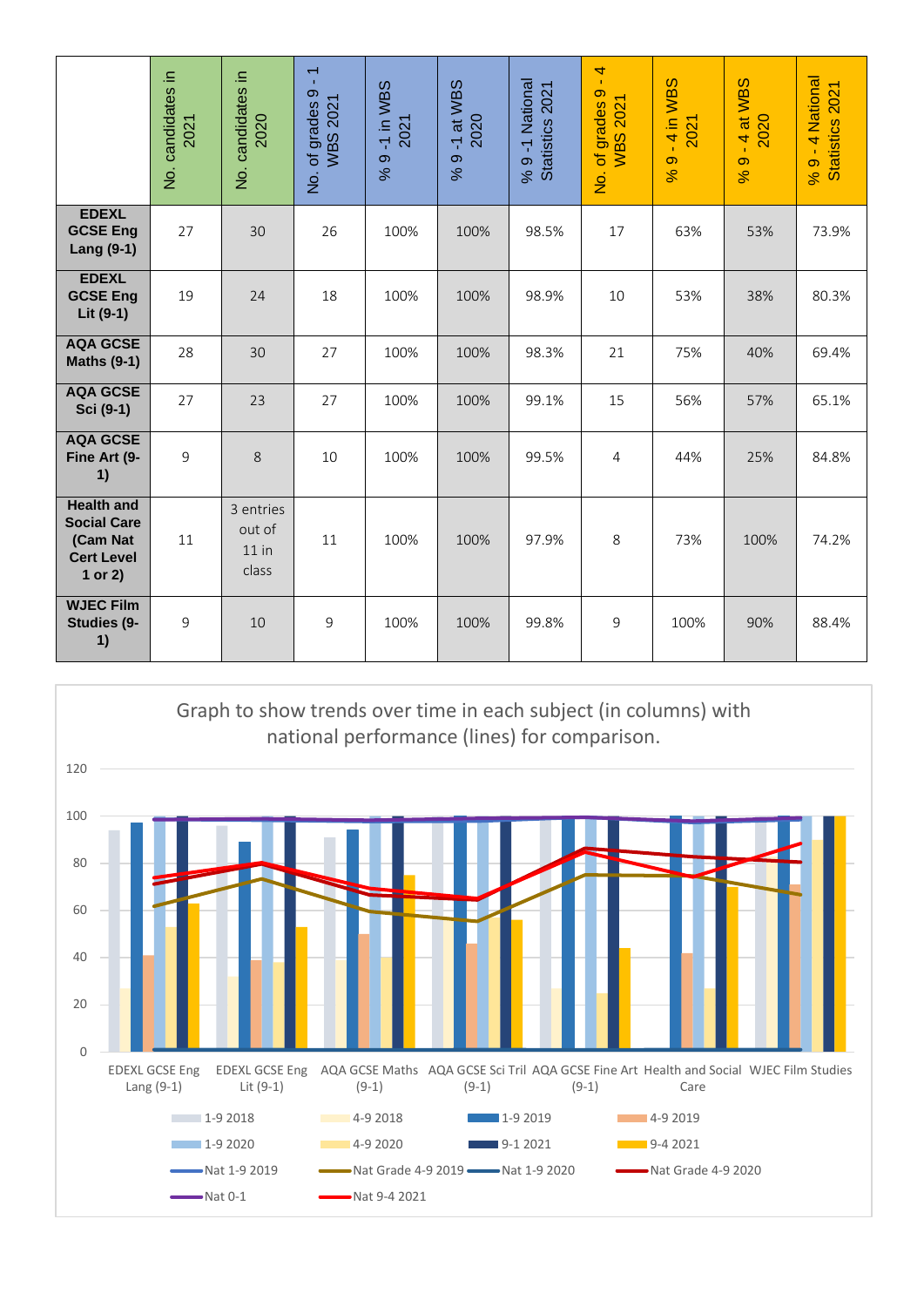|                                                                                     | 크.<br>No. candidates<br>2021 | 크.<br>candidates<br>2020<br>$\frac{\dot{\mathsf{S}}}{\mathsf{Z}}$ | $\overline{\phantom{0}}$<br>$\mathbf{r}$<br>$\circ$<br><b>WBS 2021</b><br>of grades<br>$\frac{1}{2}$ | 9-1 in WBS<br>2021<br>$\infty$ | at WBS<br>2020<br>$\overline{\mathbb{Y}}$<br>$\infty$<br>% | % 9 -1 National<br>Statistics 2021 | $\overline{\mathbf{r}}$<br>$\mathbf{r}$<br>$\sigma$<br>2021<br>of grades<br>WBS:<br>$\frac{1}{2}$ | -4 in WBS<br>2021<br>$\sigma$<br>8 <sup>o</sup> | -4 at WBS<br>2020<br>$\sigma$<br>8 <sup>o</sup> | 4 National<br>$% 9 - 4 NationalStatistics 2021$ |
|-------------------------------------------------------------------------------------|------------------------------|-------------------------------------------------------------------|------------------------------------------------------------------------------------------------------|--------------------------------|------------------------------------------------------------|------------------------------------|---------------------------------------------------------------------------------------------------|-------------------------------------------------|-------------------------------------------------|-------------------------------------------------|
| <b>EDEXL</b><br><b>GCSE Eng</b><br>Lang (9-1)                                       | 27                           | 30                                                                | 26                                                                                                   | 100%                           | 100%                                                       | 98.5%                              | 17                                                                                                | 63%                                             | 53%                                             | 73.9%                                           |
| <b>EDEXL</b><br><b>GCSE Eng</b><br>Lit (9-1)                                        | 19                           | 24                                                                | 18                                                                                                   | 100%                           | 100%                                                       | 98.9%                              | 10                                                                                                | 53%                                             | 38%                                             | 80.3%                                           |
| <b>AQA GCSE</b><br><b>Maths (9-1)</b>                                               | 28                           | 30                                                                | 27                                                                                                   | 100%                           | 100%                                                       | 98.3%                              | 21                                                                                                | 75%                                             | 40%                                             | 69.4%                                           |
| <b>AQA GCSE</b><br>Sci (9-1)                                                        | 27                           | 23                                                                | 27                                                                                                   | 100%                           | 100%                                                       | 99.1%                              | 15                                                                                                | 56%                                             | 57%                                             | 65.1%                                           |
| <b>AQA GCSE</b><br>Fine Art (9-<br>1)                                               | 9                            | 8                                                                 | 10                                                                                                   | 100%                           | 100%                                                       | 99.5%                              | 4                                                                                                 | 44%                                             | 25%                                             | 84.8%                                           |
| <b>Health and</b><br><b>Social Care</b><br>(Cam Nat<br><b>Cert Level</b><br>1 or 2) | 11                           | 3 entries<br>out of<br>$11$ in<br>class                           | 11                                                                                                   | 100%                           | 100%                                                       | 97.9%                              | 8                                                                                                 | 73%                                             | 100%                                            | 74.2%                                           |
| <b>WJEC Film</b><br>Studies (9-<br>1)                                               | 9                            | 10                                                                | 9                                                                                                    | 100%                           | 100%                                                       | 99.8%                              | 9                                                                                                 | 100%                                            | 90%                                             | 88.4%                                           |

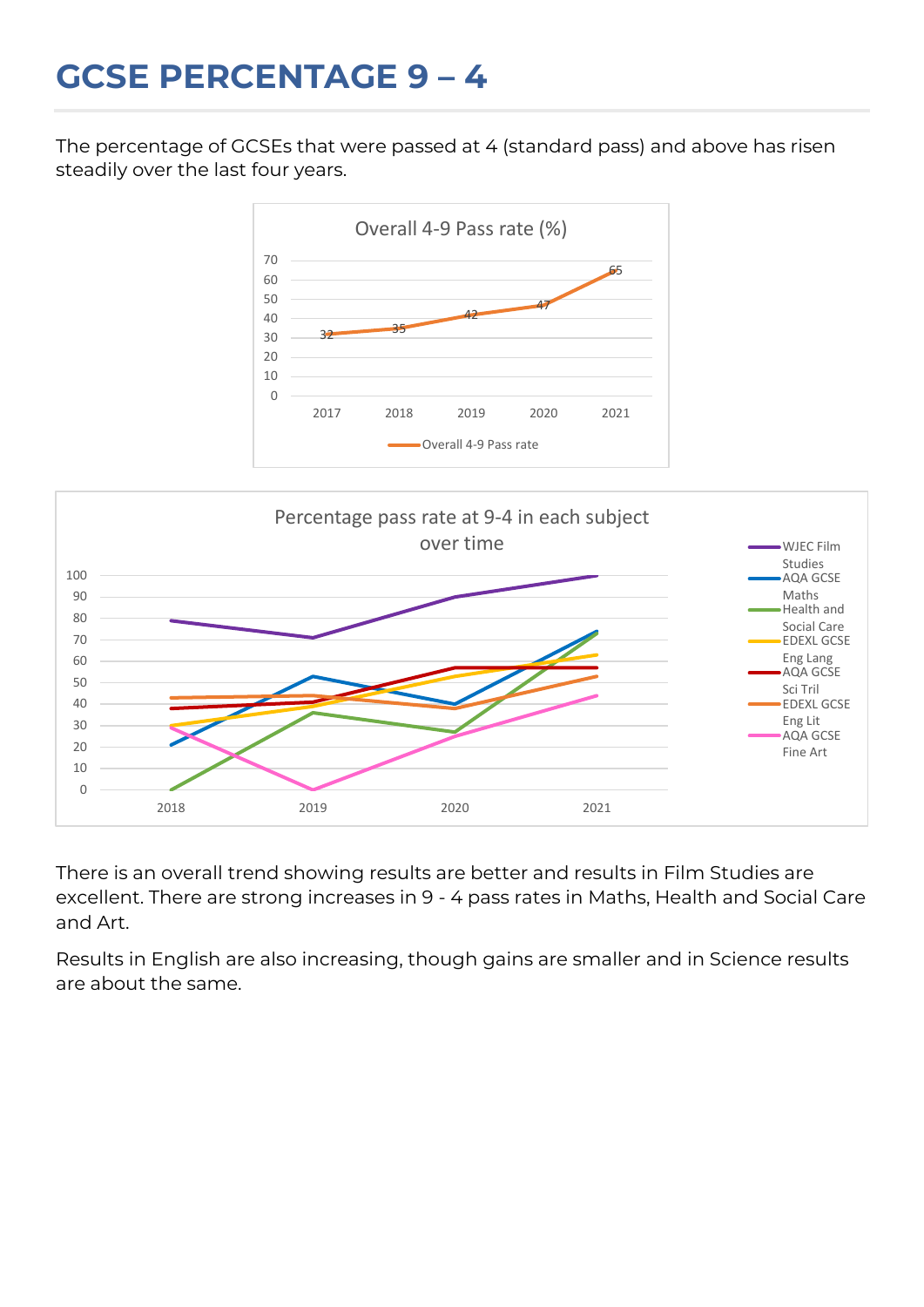## **GCSE PERCENTAGE 9 – 4**

The percentage of GCSEs that were passed at 4 (standard pass) and above has risen steadily over the last four years.





There is an overall trend showing results are better and results in Film Studies are excellent. There are strong increases in 9 - 4 pass rates in Maths, Health and Social Care and Art.

Results in English are also increasing, though gains are smaller and in Science results are about the same.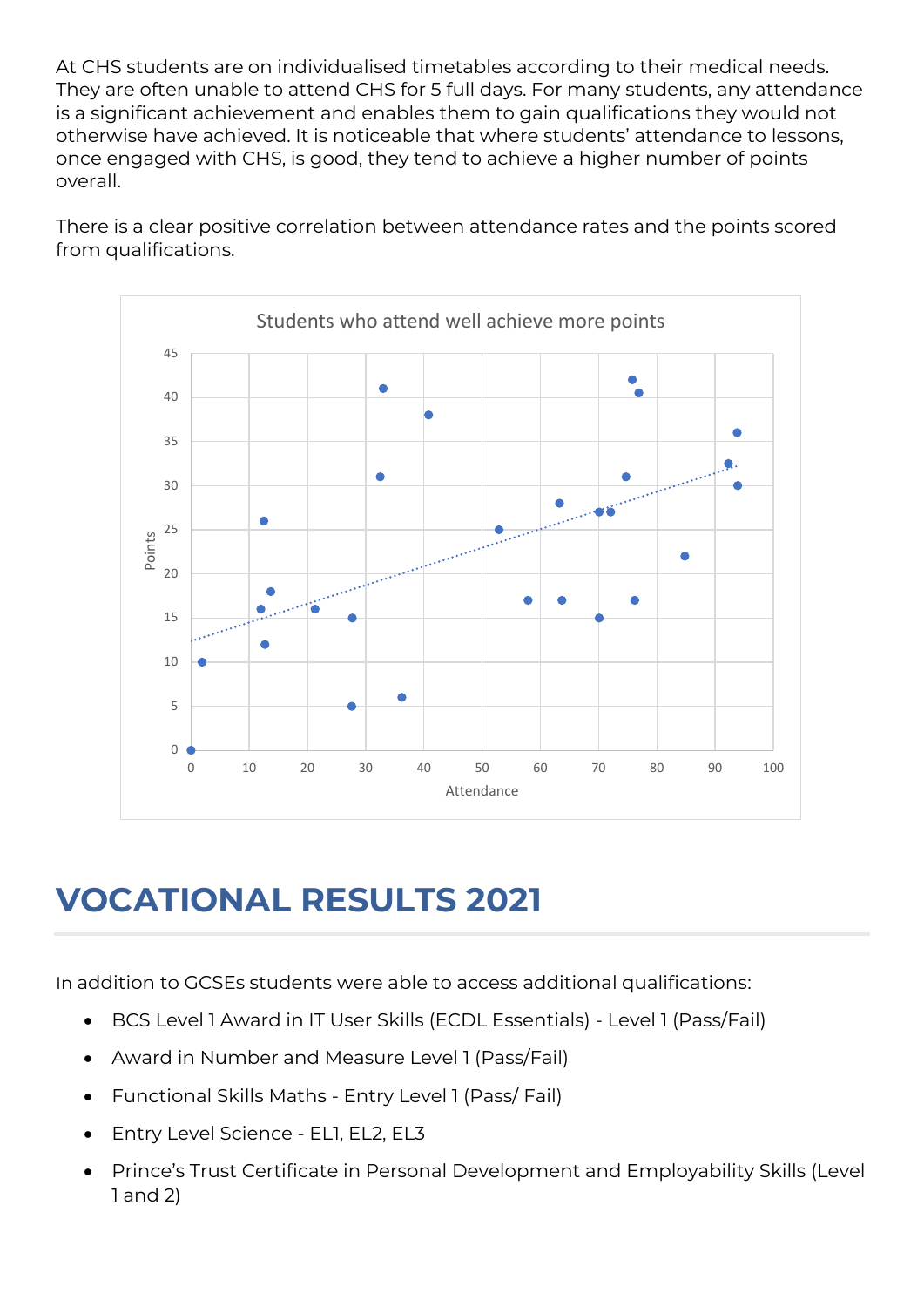At CHS students are on individualised timetables according to their medical needs. They are often unable to attend CHS for 5 full days. For many students, any attendance is a significant achievement and enables them to gain qualifications they would not otherwise have achieved. It is noticeable that where students' attendance to lessons, once engaged with CHS, is good, they tend to achieve a higher number of points overall.

There is a clear positive correlation between attendance rates and the points scored from qualifications.



## **VOCATIONAL RESULTS 2021**

In addition to GCSEs students were able to access additional qualifications:

- BCS Level 1 Award in IT User Skills (ECDL Essentials) Level 1 (Pass/Fail)
- Award in Number and Measure Level 1 (Pass/Fail)
- Functional Skills Maths Entry Level 1 (Pass/ Fail)
- Entry Level Science EL1, EL2, EL3
- Prince's Trust Certificate in Personal Development and Employability Skills (Level 1 and 2)